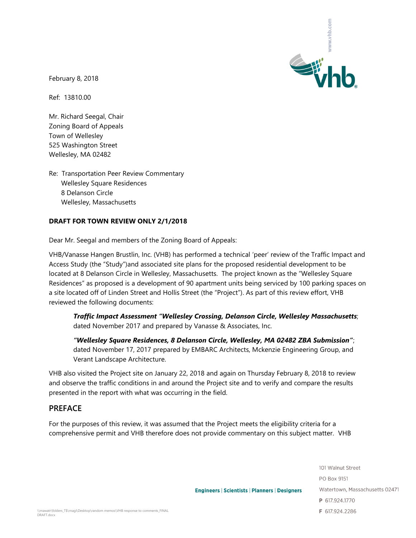

February 8, 2018

Ref: 13810.00

Mr. Richard Seegal, Chair Zoning Board of Appeals Town of Wellesley 525 Washington Street Wellesley, MA 02482

Re: Transportation Peer Review Commentary Wellesley Square Residences 8 Delanson Circle Wellesley, Massachusetts

#### **DRAFT FOR TOWN REVIEW ONLY 2/1/2018**

Dear Mr. Seegal and members of the Zoning Board of Appeals:

VHB/Vanasse Hangen Brustlin, Inc. (VHB) has performed a technical 'peer' review of the Traffic Impact and Access Study (the "Study")and associated site plans for the proposed residential development to be located at 8 Delanson Circle in Wellesley, Massachusetts. The project known as the "Wellesley Square Residences" as proposed is a development of 90 apartment units being serviced by 100 parking spaces on a site located off of Linden Street and Hollis Street (the "Project"). As part of this review effort, VHB reviewed the following documents:

*Traffic Impact Assessment "Wellesley Crossing, Delanson Circle, Wellesley Massachusetts*; dated November 2017 and prepared by Vanasse & Associates, Inc.

*"Wellesley Square Residences, 8 Delanson Circle, Wellesley, MA 02482 ZBA Submission"*; dated November 17, 2017 prepared by EMBARC Architects, Mckenzie Engineering Group, and Verant Landscape Architecture.

VHB also visited the Project site on January 22, 2018 and again on Thursday February 8, 2018 to review and observe the traffic conditions in and around the Project site and to verify and compare the results presented in the report with what was occurring in the field.

## **PREFACE**

For the purposes of this review, it was assumed that the Project meets the eligibility criteria for a comprehensive permit and VHB therefore does not provide commentary on this subject matter. VHB

> 101 Walnut Street PO Box 9151 Watertown, Massachusetts 02471 P 617.924.1770 F 617,924,2286

**Engineers | Scientists | Planners | Designers**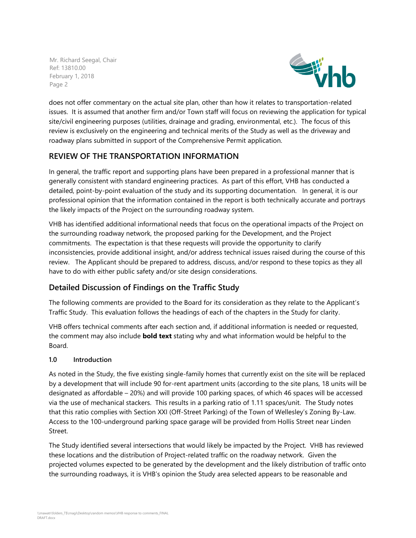

does not offer commentary on the actual site plan, other than how it relates to transportation-related issues. It is assumed that another firm and/or Town staff will focus on reviewing the application for typical site/civil engineering purposes (utilities, drainage and grading, environmental, etc.). The focus of this review is exclusively on the engineering and technical merits of the Study as well as the driveway and roadway plans submitted in support of the Comprehensive Permit application.

# **REVIEW OF THE TRANSPORTATION INFORMATION**

In general, the traffic report and supporting plans have been prepared in a professional manner that is generally consistent with standard engineering practices. As part of this effort, VHB has conducted a detailed, point-by-point evaluation of the study and its supporting documentation. In general, it is our professional opinion that the information contained in the report is both technically accurate and portrays the likely impacts of the Project on the surrounding roadway system.

VHB has identified additional informational needs that focus on the operational impacts of the Project on the surrounding roadway network, the proposed parking for the Development, and the Project commitments. The expectation is that these requests will provide the opportunity to clarify inconsistencies, provide additional insight, and/or address technical issues raised during the course of this review. The Applicant should be prepared to address, discuss, and/or respond to these topics as they all have to do with either public safety and/or site design considerations.

# **Detailed Discussion of Findings on the Traffic Study**

The following comments are provided to the Board for its consideration as they relate to the Applicant's Traffic Study. This evaluation follows the headings of each of the chapters in the Study for clarity.

VHB offers technical comments after each section and, if additional information is needed or requested, the comment may also include **bold text** stating why and what information would be helpful to the Board.

## **1.0 Introduction**

As noted in the Study, the five existing single-family homes that currently exist on the site will be replaced by a development that will include 90 for-rent apartment units (according to the site plans, 18 units will be designated as affordable – 20%) and will provide 100 parking spaces, of which 46 spaces will be accessed via the use of mechanical stackers. This results in a parking ratio of 1.11 spaces/unit. The Study notes that this ratio complies with Section XXI (Off-Street Parking) of the Town of Wellesley's Zoning By-Law. Access to the 100-underground parking space garage will be provided from Hollis Street near Linden Street.

The Study identified several intersections that would likely be impacted by the Project. VHB has reviewed these locations and the distribution of Project-related traffic on the roadway network. Given the projected volumes expected to be generated by the development and the likely distribution of traffic onto the surrounding roadways, it is VHB's opinion the Study area selected appears to be reasonable and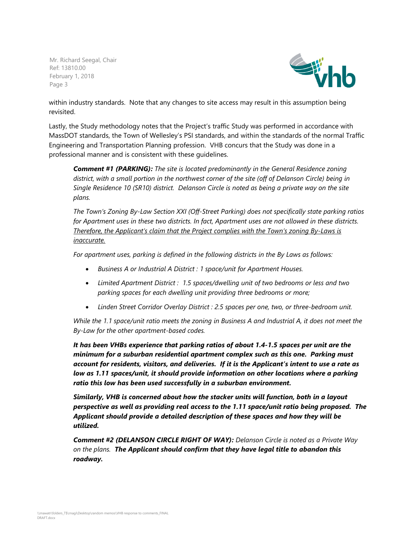

within industry standards. Note that any changes to site access may result in this assumption being revisited.

Lastly, the Study methodology notes that the Project's traffic Study was performed in accordance with MassDOT standards, the Town of Wellesley's PSI standards, and within the standards of the normal Traffic Engineering and Transportation Planning profession. VHB concurs that the Study was done in a professional manner and is consistent with these guidelines.

*Comment #1 (PARKING): The site is located predominantly in the General Residence zoning district, with a small portion in the northwest corner of the site (off of Delanson Circle) being in Single Residence 10 (SR10) district. Delanson Circle is noted as being a private way on the site plans.* 

*The Town's Zoning By-Law Section XXI (Off-Street Parking) does not specifically state parking ratios for Apartment uses in these two districts. In fact, Apartment uses are not allowed in these districts. Therefore, the Applicant's claim that the Project complies with the Town's zoning By-Laws is inaccurate.*

*For apartment uses, parking is defined in the following districts in the By Laws as follows:*

- *Business A or Industrial A District : 1 space/unit for Apartment Houses.*
- *Limited Apartment District : 1.5 spaces/dwelling unit of two bedrooms or less and two parking spaces for each dwelling unit providing three bedrooms or more;*
- *Linden Street Corridor Overlay District : 2.5 spaces per one, two, or three-bedroom unit.*

*While the 1.1 space/unit ratio meets the zoning in Business A and Industrial A, it does not meet the By-Law for the other apartment-based codes.* 

*It has been VHBs experience that parking ratios of about 1.4-1.5 spaces per unit are the minimum for a suburban residential apartment complex such as this one. Parking must account for residents, visitors, and deliveries. If it is the Applicant's intent to use a rate as low as 1.11 spaces/unit, it should provide information on other locations where a parking ratio this low has been used successfully in a suburban environment.*

*Similarly, VHB is concerned about how the stacker units will function, both in a layout perspective as well as providing real access to the 1.11 space/unit ratio being proposed. The Applicant should provide a detailed description of these spaces and how they will be utilized.*

*Comment #2 (DELANSON CIRCLE RIGHT OF WAY): Delanson Circle is noted as a Private Way on the plans. The Applicant should confirm that they have legal title to abandon this roadway.*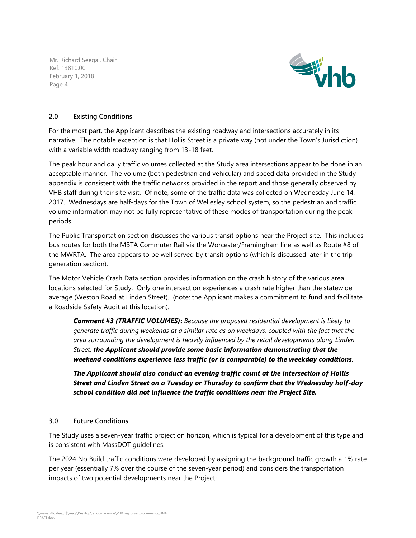

#### **2.0 Existing Conditions**

For the most part, the Applicant describes the existing roadway and intersections accurately in its narrative. The notable exception is that Hollis Street is a private way (not under the Town's Jurisdiction) with a variable width roadway ranging from 13-18 feet.

The peak hour and daily traffic volumes collected at the Study area intersections appear to be done in an acceptable manner. The volume (both pedestrian and vehicular) and speed data provided in the Study appendix is consistent with the traffic networks provided in the report and those generally observed by VHB staff during their site visit. Of note, some of the traffic data was collected on Wednesday June 14, 2017. Wednesdays are half-days for the Town of Wellesley school system, so the pedestrian and traffic volume information may not be fully representative of these modes of transportation during the peak periods.

The Public Transportation section discusses the various transit options near the Project site. This includes bus routes for both the MBTA Commuter Rail via the Worcester/Framingham line as well as Route #8 of the MWRTA. The area appears to be well served by transit options (which is discussed later in the trip generation section).

The Motor Vehicle Crash Data section provides information on the crash history of the various area locations selected for Study. Only one intersection experiences a crash rate higher than the statewide average (Weston Road at Linden Street). (note: the Applicant makes a commitment to fund and facilitate a Roadside Safety Audit at this location).

*Comment #3 (TRAFFIC VOLUMES)***:** *Because the proposed residential development is likely to generate traffic during weekends at a similar rate as on weekdays; coupled with the fact that the*  area surrounding the development is heavily influenced by the retail developments along Linden *Street, the Applicant should provide some basic information demonstrating that the weekend conditions experience less traffic (or is comparable) to the weekday conditions.*

*The Applicant should also conduct an evening traffic count at the intersection of Hollis Street and Linden Street on a Tuesday or Thursday to confirm that the Wednesday half-day school condition did not influence the traffic conditions near the Project Site.* 

## **3.0 Future Conditions**

The Study uses a seven-year traffic projection horizon, which is typical for a development of this type and is consistent with MassDOT guidelines.

The 2024 No Build traffic conditions were developed by assigning the background traffic growth a 1% rate per year (essentially 7% over the course of the seven-year period) and considers the transportation impacts of two potential developments near the Project: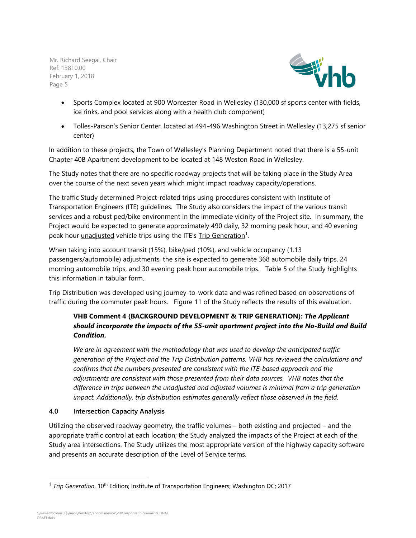

- Sports Complex located at 900 Worcester Road in Wellesley (130,000 sf sports center with fields, ice rinks, and pool services along with a health club component)
- Tolles-Parson's Senior Center, located at 494-496 Washington Street in Wellesley (13,275 sf senior center)

In addition to these projects, the Town of Wellesley's Planning Department noted that there is a 55-unit Chapter 40B Apartment development to be located at 148 Weston Road in Wellesley.

The Study notes that there are no specific roadway projects that will be taking place in the Study Area over the course of the next seven years which might impact roadway capacity/operations.

The traffic Study determined Project-related trips using procedures consistent with Institute of Transportation Engineers (ITE) guidelines. The Study also considers the impact of the various transit services and a robust ped/bike environment in the immediate vicinity of the Project site. In summary, the Project would be expected to generate approximately 490 daily, 32 morning peak hour, and 40 evening peak hour unadjusted vehicle trips using the ITE's Trip Generation<sup>1</sup>.

When taking into account transit (15%), bike/ped (10%), and vehicle occupancy (1.13 passengers/automobile) adjustments, the site is expected to generate 368 automobile daily trips, 24 morning automobile trips, and 30 evening peak hour automobile trips. Table 5 of the Study highlights this information in tabular form.

Trip Distribution was developed using journey-to-work data and was refined based on observations of traffic during the commuter peak hours. Figure 11 of the Study reflects the results of this evaluation.

# **VHB Comment 4 (BACKGROUND DEVELOPMENT & TRIP GENERATION):** *The Applicant should incorporate the impacts of the 55-unit apartment project into the No-Build and Build Condition.*

*We are in agreement with the methodology that was used to develop the anticipated traffic generation of the Project and the Trip Distribution patterns. VHB has reviewed the calculations and confirms that the numbers presented are consistent with the ITE-based approach and the adjustments are consistent with those presented from their data sources. VHB notes that the difference in trips between the unadjusted and adjusted volumes is minimal from a trip generation impact. Additionally, trip distribution estimates generally reflect those observed in the field.*

## **4.0 Intersection Capacity Analysis**

Utilizing the observed roadway geometry, the traffic volumes – both existing and projected – and the appropriate traffic control at each location; the Study analyzed the impacts of the Project at each of the Study area intersections. The Study utilizes the most appropriate version of the highway capacity software and presents an accurate description of the Level of Service terms.

l

<sup>&</sup>lt;sup>1</sup> *Trip Generation*, 10<sup>th</sup> Edition; Institute of Transportation Engineers; Washington DC; 2017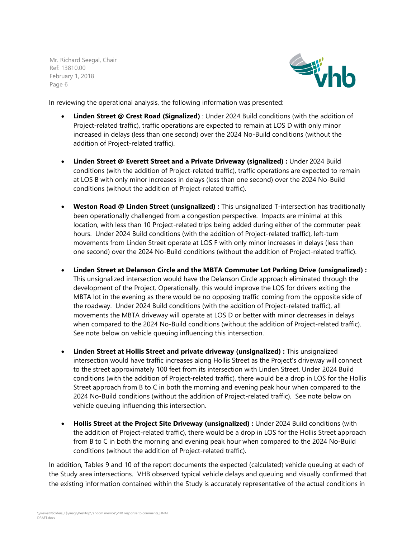

In reviewing the operational analysis, the following information was presented:

- **Linden Street @ Crest Road (Signalized)** : Under 2024 Build conditions (with the addition of Project-related traffic), traffic operations are expected to remain at LOS D with only minor increased in delays (less than one second) over the 2024 No-Build conditions (without the addition of Project-related traffic).
- **Linden Street @ Everett Street and a Private Driveway (signalized) :** Under 2024 Build conditions (with the addition of Project-related traffic), traffic operations are expected to remain at LOS B with only minor increases in delays (less than one second) over the 2024 No-Build conditions (without the addition of Project-related traffic).
- **Weston Road @ Linden Street (unsignalized) :** This unsignalized T-intersection has traditionally been operationally challenged from a congestion perspective. Impacts are minimal at this location, with less than 10 Project-related trips being added during either of the commuter peak hours. Under 2024 Build conditions (with the addition of Project-related traffic), left-turn movements from Linden Street operate at LOS F with only minor increases in delays (less than one second) over the 2024 No-Build conditions (without the addition of Project-related traffic).
- **Linden Street at Delanson Circle and the MBTA Commuter Lot Parking Drive (unsignalized) :** This unsignalized intersection would have the Delanson Circle approach eliminated through the development of the Project. Operationally, this would improve the LOS for drivers exiting the MBTA lot in the evening as there would be no opposing traffic coming from the opposite side of the roadway. Under 2024 Build conditions (with the addition of Project-related traffic), all movements the MBTA driveway will operate at LOS D or better with minor decreases in delays when compared to the 2024 No-Build conditions (without the addition of Project-related traffic). See note below on vehicle queuing influencing this intersection.
- **Linden Street at Hollis Street and private driveway (unsignalized) :** This unsignalized intersection would have traffic increases along Hollis Street as the Project's driveway will connect to the street approximately 100 feet from its intersection with Linden Street. Under 2024 Build conditions (with the addition of Project-related traffic), there would be a drop in LOS for the Hollis Street approach from B to C in both the morning and evening peak hour when compared to the 2024 No-Build conditions (without the addition of Project-related traffic). See note below on vehicle queuing influencing this intersection.
- **Hollis Street at the Project Site Driveway (unsignalized) :** Under 2024 Build conditions (with the addition of Project-related traffic), there would be a drop in LOS for the Hollis Street approach from B to C in both the morning and evening peak hour when compared to the 2024 No-Build conditions (without the addition of Project-related traffic).

In addition, Tables 9 and 10 of the report documents the expected (calculated) vehicle queuing at each of the Study area intersections. VHB observed typical vehicle delays and queuing and visually confirmed that the existing information contained within the Study is accurately representative of the actual conditions in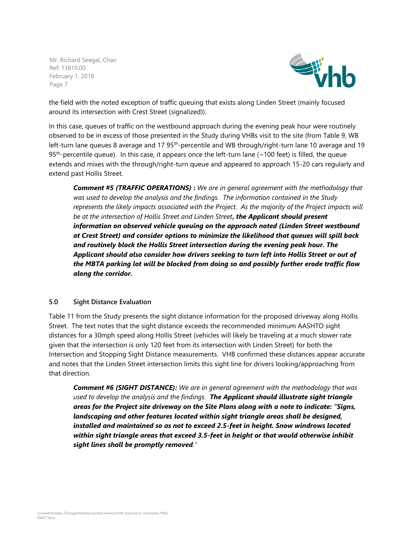

the field with the noted exception of traffic queuing that exists along Linden Street (mainly focused around its intersection with Crest Street (signalized)).

In this case, queues of traffic on the westbound approach during the evening peak hour were routinely observed to be in excess of those presented in the Study during VHBs visit to the site (from Table 9, WB left-turn lane queues 8 average and 17 95<sup>th</sup>-percentile and WB through/right-turn lane 10 average and 19 95<sup>th</sup>-percentile queue). In this case, it appears once the left-turn lane (~100 feet) is filled, the queue extends and mixes with the through/right-turn queue and appeared to approach 15-20 cars regularly and extend past Hollis Street.

*Comment #5 (TRAFFIC OPERATIONS)* **:** *We are in general agreement with the methodology that was used to develop the analysis and the findings. The information contained in the Study represents the likely impacts associated with the Project. As the majority of the Project impacts will be at the intersection of Hollis Street and Linden Street, the Applicant should present information on observed vehicle queuing on the approach noted (Linden Street westbound at Crest Street) and consider options to minimize the likelihood that queues will spill back and routinely block the Hollis Street intersection during the evening peak hour. The Applicant should also consider how drivers seeking to turn left into Hollis Street or out of the MBTA parking lot will be blocked from doing so and possibly further erode traffic flow along the corridor.* 

#### **5.0 Sight Distance Evaluation**

Table 11 from the Study presents the sight distance information for the proposed driveway along Hollis Street. The text notes that the sight distance exceeds the recommended minimum AASHTO sight distances for a 30mph speed along Hollis Street (vehicles will likely be traveling at a much slower rate given that the intersection is only 120 feet from its intersection with Linden Street) for both the Intersection and Stopping Sight Distance measurements. VHB confirmed these distances appear accurate and notes that the Linden Street intersection limits this sight line for drivers looking/approaching from that direction.

*Comment #6 (SIGHT DISTANCE): We are in general agreement with the methodology that was used to develop the analysis and the findings. The Applicant should illustrate sight triangle areas for the Project site driveway on the Site Plans along with a note to indicate: "Signs, landscaping and other features located within sight triangle areas shall be designed, installed and maintained so as not to exceed 2.5-feet in height. Snow windrows located within sight triangle areas that exceed 3.5-feet in height or that would otherwise inhibit sight lines shall be promptly removed."*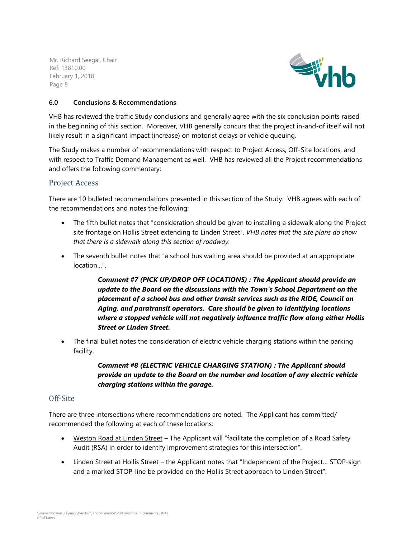

## **6.0 Conclusions & Recommendations**

VHB has reviewed the traffic Study conclusions and generally agree with the six conclusion points raised in the beginning of this section. Moreover, VHB generally concurs that the project in-and-of itself will not likely result in a significant impact (increase) on motorist delays or vehicle queuing.

The Study makes a number of recommendations with respect to Project Access, Off-Site locations, and with respect to Traffic Demand Management as well. VHB has reviewed all the Project recommendations and offers the following commentary:

# Project Access

There are 10 bulleted recommendations presented in this section of the Study. VHB agrees with each of the recommendations and notes the following:

- The fifth bullet notes that "consideration should be given to installing a sidewalk along the Project site frontage on Hollis Street extending to Linden Street". *VHB notes that the site plans do show that there is a sidewalk along this section of roadway.*
- The seventh bullet notes that "a school bus waiting area should be provided at an appropriate location…".

*Comment #7 (PICK UP/DROP OFF LOCATIONS) : The Applicant should provide an update to the Board on the discussions with the Town's School Department on the placement of a school bus and other transit services such as the RIDE, Council on Aging, and paratransit operators. Care should be given to identifying locations where a stopped vehicle will not negatively influence traffic flow along either Hollis Street or Linden Street.*

• The final bullet notes the consideration of electric vehicle charging stations within the parking facility.

# *Comment #8 (ELECTRIC VEHICLE CHARGING STATION) : The Applicant should provide an update to the Board on the number and location of any electric vehicle charging stations within the garage.*

#### Off-Site

There are three intersections where recommendations are noted. The Applicant has committed/ recommended the following at each of these locations:

- Weston Road at Linden Street The Applicant will "facilitate the completion of a Road Safety Audit (RSA) in order to identify improvement strategies for this intersection".
- Linden Street at Hollis Street the Applicant notes that "Independent of the Project... STOP-sign and a marked STOP-line be provided on the Hollis Street approach to Linden Street".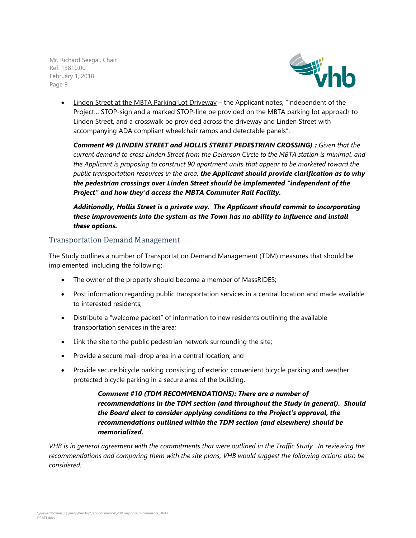

• Linden Street at the MBTA Parking Lot Driveway – the Applicant notes, "Independent of the Project… STOP-sign and a marked STOP-line be provided on the MBTA parking lot approach to Linden Street, and a crosswalk be provided across the driveway and Linden Street with accompanying ADA compliant wheelchair ramps and detectable panels".

*Comment #9 (LINDEN STREET and HOLLIS STREET PEDESTRIAN CROSSING) : Given that the current demand to cross Linden Street from the Delanson Circle to the MBTA station is minimal, and the Applicant is proposing to construct 90 apartment units that appear to be marketed toward the public transportation resources in the area, the Applicant should provide clarification as to why the pedestrian crossings over Linden Street should be implemented "independent of the Project" and how they'd access the MBTA Commuter Rail Facility.*

# *Additionally, Hollis Street is a private way. The Applicant should commit to incorporating these improvements into the system as the Town has no ability to influence and install these options.*

# Transportation Demand Management

The Study outlines a number of Transportation Demand Management (TDM) measures that should be implemented, including the following:

- The owner of the property should become a member of MassRIDES;
- Post information regarding public transportation services in a central location and made available to interested residents;
- Distribute a "welcome packet" of information to new residents outlining the available transportation services in the area;
- Link the site to the public pedestrian network surrounding the site;
- Provide a secure mail-drop area in a central location; and
- Provide secure bicycle parking consisting of exterior convenient bicycle parking and weather protected bicycle parking in a secure area of the building.

*Comment #10 (TDM RECOMMENDATIONS): There are a number of recommendations in the TDM section (and throughout the Study in general). Should the Board elect to consider applying conditions to the Project's approval, the recommendations outlined within the TDM section (and elsewhere) should be memorialized.*

*VHB is in general agreement with the commitments that were outlined in the Traffic Study. In reviewing the recommendations and comparing them with the site plans, VHB would suggest the following actions also be considered:*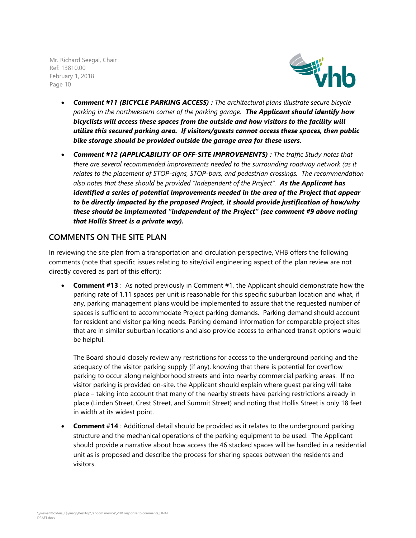

- *Comment #11 (BICYCLE PARKING ACCESS) : The architectural plans illustrate secure bicycle parking in the northwestern corner of the parking garage. The Applicant should identify how bicyclists will access these spaces from the outside and how visitors to the facility will utilize this secured parking area. If visitors/guests cannot access these spaces, then public bike storage should be provided outside the garage area for these users.*
- *Comment #12 (APPLICABILITY OF OFF-SITE IMPROVEMENTS) : The traffic Study notes that there are several recommended improvements needed to the surrounding roadway network (as it relates to the placement of STOP-signs, STOP-bars, and pedestrian crossings. The recommendation also notes that these should be provided "Independent of the Project". As the Applicant has identified a series of potential improvements needed in the area of the Project that appear to be directly impacted by the proposed Project, it should provide justification of how/why these should be implemented "independent of the Project" (see comment #9 above noting that Hollis Street is a private way).*

# **COMMENTS ON THE SITE PLAN**

In reviewing the site plan from a transportation and circulation perspective, VHB offers the following comments (note that specific issues relating to site/civil engineering aspect of the plan review are not directly covered as part of this effort):

**Comment #13** : As noted previously in Comment #1, the Applicant should demonstrate how the parking rate of 1.11 spaces per unit is reasonable for this specific suburban location and what, if any, parking management plans would be implemented to assure that the requested number of spaces is sufficient to accommodate Project parking demands. Parking demand should account for resident and visitor parking needs. Parking demand information for comparable project sites that are in similar suburban locations and also provide access to enhanced transit options would be helpful.

The Board should closely review any restrictions for access to the underground parking and the adequacy of the visitor parking supply (if any), knowing that there is potential for overflow parking to occur along neighborhood streets and into nearby commercial parking areas. If no visitor parking is provided on-site, the Applicant should explain where guest parking will take place – taking into account that many of the nearby streets have parking restrictions already in place (Linden Street, Crest Street, and Summit Street) and noting that Hollis Street is only 18 feet in width at its widest point.

• **Comment** #**14** : Additional detail should be provided as it relates to the underground parking structure and the mechanical operations of the parking equipment to be used. The Applicant should provide a narrative about how access the 46 stacked spaces will be handled in a residential unit as is proposed and describe the process for sharing spaces between the residents and visitors.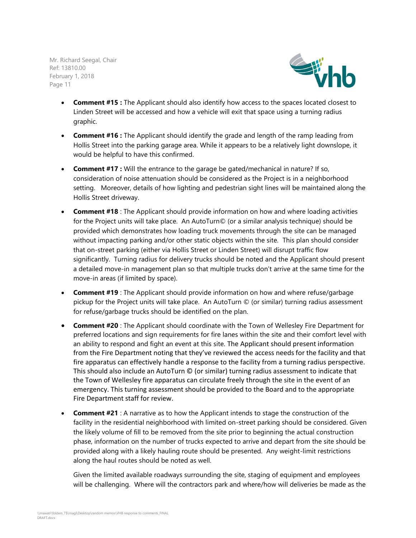

- **Comment #15 :** The Applicant should also identify how access to the spaces located closest to Linden Street will be accessed and how a vehicle will exit that space using a turning radius graphic.
- **Comment #16 :** The Applicant should identify the grade and length of the ramp leading from Hollis Street into the parking garage area. While it appears to be a relatively light downslope, it would be helpful to have this confirmed.
- **Comment #17 :** Will the entrance to the garage be gated/mechanical in nature? If so, consideration of noise attenuation should be considered as the Project is in a neighborhood setting. Moreover, details of how lighting and pedestrian sight lines will be maintained along the Hollis Street driveway.
- **Comment #18** : The Applicant should provide information on how and where loading activities for the Project units will take place. An AutoTurn© (or a similar analysis technique) should be provided which demonstrates how loading truck movements through the site can be managed without impacting parking and/or other static objects within the site. This plan should consider that on-street parking (either via Hollis Street or Linden Street) will disrupt traffic flow significantly. Turning radius for delivery trucks should be noted and the Applicant should present a detailed move-in management plan so that multiple trucks don't arrive at the same time for the move-in areas (if limited by space).
- **Comment #19** : The Applicant should provide information on how and where refuse/garbage pickup for the Project units will take place. An AutoTurn © (or similar) turning radius assessment for refuse/garbage trucks should be identified on the plan.
- **Comment #20** : The Applicant should coordinate with the Town of Wellesley Fire Department for preferred locations and sign requirements for fire lanes within the site and their comfort level with an ability to respond and fight an event at this site. The Applicant should present information from the Fire Department noting that they've reviewed the access needs for the facility and that fire apparatus can effectively handle a response to the facility from a turning radius perspective. This should also include an AutoTurn © (or similar) turning radius assessment to indicate that the Town of Wellesley fire apparatus can circulate freely through the site in the event of an emergency. This turning assessment should be provided to the Board and to the appropriate Fire Department staff for review.
- **Comment #21** : A narrative as to how the Applicant intends to stage the construction of the facility in the residential neighborhood with limited on-street parking should be considered. Given the likely volume of fill to be removed from the site prior to beginning the actual construction phase, information on the number of trucks expected to arrive and depart from the site should be provided along with a likely hauling route should be presented. Any weight-limit restrictions along the haul routes should be noted as well.

Given the limited available roadways surrounding the site, staging of equipment and employees will be challenging. Where will the contractors park and where/how will deliveries be made as the